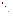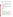# **Consumer Factsheet on: PARA-DICHLOROBENZENE (p-DCB)**

[List of Contaminants](http://www.epa.gov/safewater/hfacts.html) 

#### As part of the Drinking Water and Health pages, this fact sheet is part of a larger publication: **National Primary Drinking Water Regulations**

 States Environmental Protection Agency (EPA). This is a factsheet about a chemical that may be found in some public or private drinking water supplies. It may cause health problems if found in amounts greater than the health standard set by the United

#### **What is p-DCB and how is it used?**

 mainly as an insecticidal fumigant against clothes moths and as a deodorant for garbage and restrooms. Para-dichlorobenzene (p-DCB) is an organic solid of white crystals with a mothball-like odor. It is used It is also used as an insecticide and fungicide on crops, and in the manufacture of other organic chemicals and in plastics, dyes, pharmaceuticals.

 The list of trade names given below may help you find out whether you are using this chemical at home or work.

#### **Trade Names and Synonyms:**

Paradichlorobenzene Paradichlorobenzol Paramoth Di-Chloricide Paradi Paradow Persia-Perazol Evola Parazene

# **Why is p-DCB being Regulated?**

 based solely on possible health risks and exposure, are called Maximum Contaminant Level Goals. In 1974, Congress passed the Safe Drinking Water Act. This law requires EPA to determine safe levels of chemicals in drinking water which do or may cause health problems. These non-enforceable levels,

 The MCLG for p-DCB has been set at 75 parts per billion (ppb) because EPA believes this level of protection would not cause any of the potential health problems described below.

 Based on this MCLG, EPA has set an enforceable standard called a Maximum Contaminant Level (MCL). MCLs are set as close to the MCLGs as possible, considering the ability of public water systems to detect and remove contaminants using suitable treatment technologies.

 The MCL has been set at 75 ppb because EPA believes, given present technology and resources, this is occur in drinking water. the lowest level to which water systems can reasonably be required to remove this contaminant should it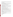These drinking water standards and the regulations for ensuring these standards are met, are called National Primary Drinking Water Regulations. All public water supplies must abide by these regulations.

### **What are the Health Effects?**

 Short-term: EPA has found p-DCB to potentially cause the following health effects when people are exposed to it at levels above the MCL for relatively short periods of time: nausea, vomiting, headaches, and irritation of the eyes and respiratory tract.

 the MCL: anemia, skin lesions, appetite loss, damage to liver and changes in blood. Long-term: p-DCB has the potential to cause the following effects from a lifetime exposure at levels above

#### **How much p-DCB is produced and released to the environment?**

 74 million lbs. of p-DCB were consumed by industry in 1986, and demand was predicted to increase. of p-DCB pollution in Lake Ontario. Chemical waste dump leachates and direct manufacturing effluents are reported to be the major source

 34,000 lbs. Releases to land totalled nearly 4,500 lbs. These releases were primarily from a single From 1987 to 1993, according to the Toxic Release Inventory, p-DCB releases to water totalled almost chemical manufacturing plant in West Virginia.

#### **What happens to p-DCB when it is released to the environment?**

 accumulate in most aquatic life, though it may in some fishes. p-DCB only moderately binds to soil so it may leach to ground water. Otherwise, it will evaporate and be slowly broken down by microbes. If released to water, it will largely evaporate. p-DCB is not likely to

# **How will p-DCB be Detected in and Removed from My Drinking Water?**

 supplier to collect water samples every 3 months for one year and analyze them to find out if p-DCB is contaminant. The regulation for p-DCB became effective in 1989. Between 1993 and 1995, EPA required your water present above 0.5 ppb. If it is present above this level, the system must continue to monitor this

 Packed Tower Aeration. If contaminant levels are found to be consistently above the MCL, your water supplier must take steps to reduce the amount of p-DCB so that it is consistently below that level. The following treatment methods have been approved by EPA for removing p-DCB: Granular activated charcoal in combination with

#### **How will I know if p-DCB is in my drinking water?**

 required to prevent serious risks to public health. If the levels of p-DCB exceed the MCL, 75 ppb, the system must notify the public via newspapers, radio, TV and other means. Additional actions, such as providing alternative drinking water supplies, may be

# **Drinking Water Standards:**

Mclg: 75 ppb

Mcl: 75 ppb